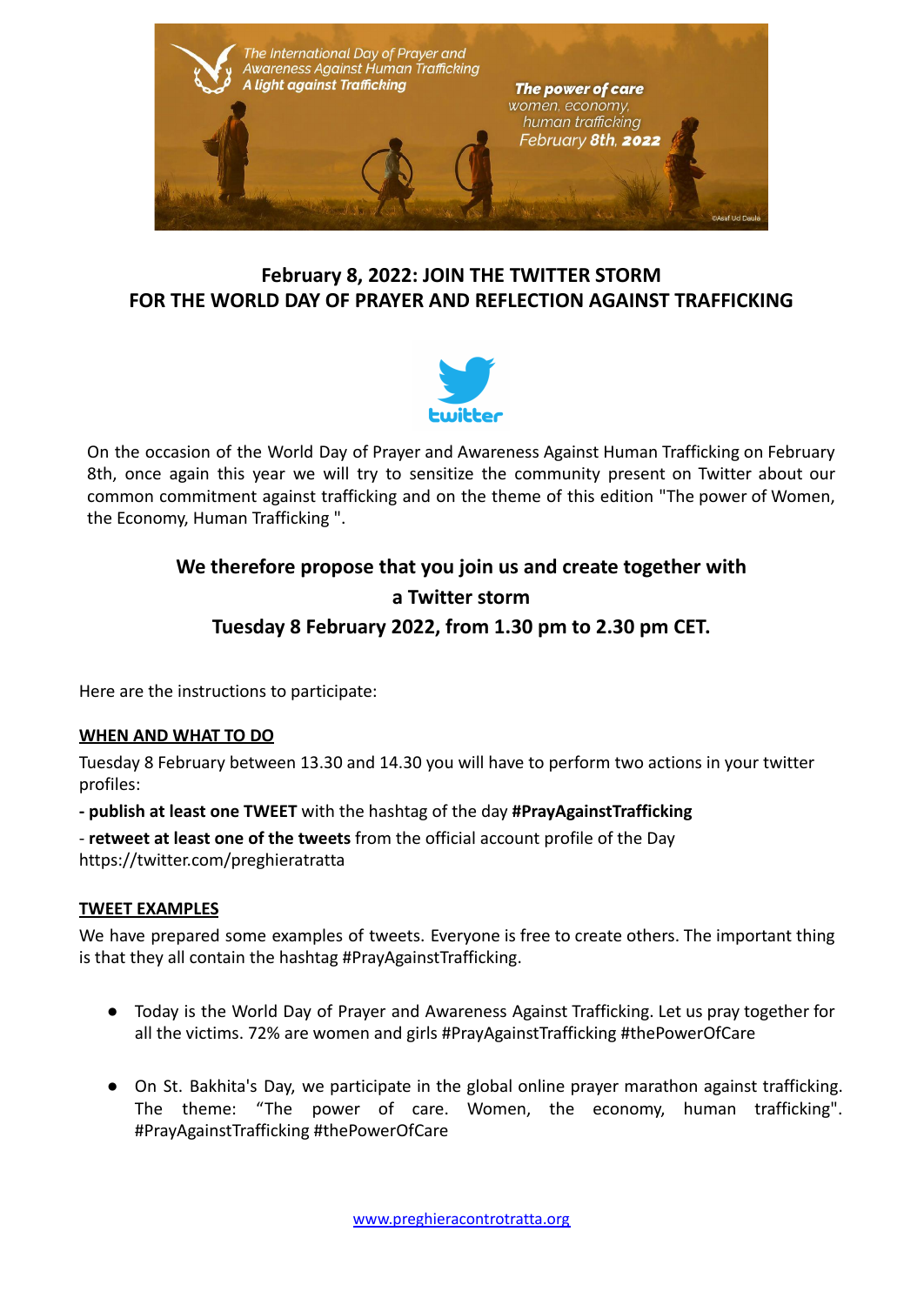

### **February 8, 2022: JOIN THE TWITTER STORM FOR THE WORLD DAY OF PRAYER AND REFLECTION AGAINST TRAFFICKING**



On the occasion of the World Day of Prayer and Awareness Against Human Trafficking on February 8th, once again this year we will try to sensitize the community present on Twitter about our common commitment against trafficking and on the theme of this edition "The power of Women, the Economy, Human Trafficking ".

# **We therefore propose that you join us and create together with a Twitter storm Tuesday 8 February 2022, from 1.30 pm to 2.30 pm CET.**

Here are the instructions to participate:

#### **WHEN AND WHAT TO DO**

Tuesday 8 February between 13.30 and 14.30 you will have to perform two actions in your twitter profiles:

**- publish at least one TWEET** with the hashtag of the day **#PrayAgainstTrafficking**

- **retweet at least one of the tweets** from the official account profile of the Day https://twitter.com/preghieratratta

#### **TWEET EXAMPLES**

We have prepared some examples of tweets. Everyone is free to create others. The important thing is that they all contain the hashtag #PrayAgainstTrafficking.

- Today is the World Day of Prayer and Awareness Against Trafficking. Let us pray together for all the victims. 72% are women and girls #PrayAgainstTrafficking #thePowerOfCare
- On St. Bakhita's Day, we participate in the global online prayer marathon against trafficking. The theme: "The power of care. Women, the economy, human trafficking". #PrayAgainstTrafficking #thePowerOfCare